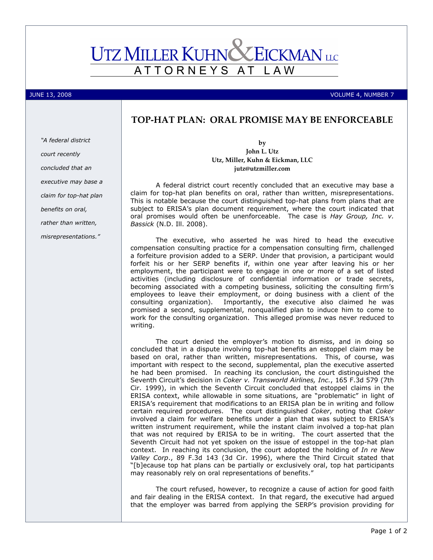## **EICKMAN** LLC **UTZ MILLER KUHNC** ATTORNEYS AT L A W

JUNE 13, 2008 VOLUME 4, NUMBER 7

## TOP-HAT PLAN: ORAL PROMISE MAY BE ENFORCEABLE

"A federal district court recently concluded that an executive may base a claim for top-hat plan benefits on oral, rather than written, misrepresentations."

by John L. Utz Utz, Miller, Kuhn & Eickman, LLC jutz@utzmiller.com

A federal district court recently concluded that an executive may base a claim for top-hat plan benefits on oral, rather than written, misrepresentations. This is notable because the court distinguished top-hat plans from plans that are subject to ERISA's plan document requirement, where the court indicated that oral promises would often be unenforceable. The case is Hay Group, Inc. v. Bassick (N.D. Ill. 2008).

The executive, who asserted he was hired to head the executive compensation consulting practice for a compensation consulting firm, challenged a forfeiture provision added to a SERP. Under that provision, a participant would forfeit his or her SERP benefits if, within one year after leaving his or her employment, the participant were to engage in one or more of a set of listed activities (including disclosure of confidential information or trade secrets, becoming associated with a competing business, soliciting the consulting firm's employees to leave their employment, or doing business with a client of the consulting organization). Importantly, the executive also claimed he was promised a second, supplemental, nonqualified plan to induce him to come to work for the consulting organization. This alleged promise was never reduced to writing.

The court denied the employer's motion to dismiss, and in doing so concluded that in a dispute involving top-hat benefits an estoppel claim may be based on oral, rather than written, misrepresentations. This, of course, was important with respect to the second, supplemental, plan the executive asserted he had been promised. In reaching its conclusion, the court distinguished the Seventh Circuit's decision in Coker v. Transworld Airlines, Inc., 165 F.3d 579 (7th Cir. 1999), in which the Seventh Circuit concluded that estoppel claims in the ERISA context, while allowable in some situations, are "problematic" in light of ERISA's requirement that modifications to an ERISA plan be in writing and follow certain required procedures. The court distinguished Coker, noting that Coker involved a claim for welfare benefits under a plan that was subject to ERISA's written instrument requirement, while the instant claim involved a top-hat plan that was not required by ERISA to be in writing. The court asserted that the Seventh Circuit had not yet spoken on the issue of estoppel in the top-hat plan context. In reaching its conclusion, the court adopted the holding of In re New Valley Corp., 89 F.3d 143 (3d Cir. 1996), where the Third Circuit stated that "[b]ecause top hat plans can be partially or exclusively oral, top hat participants may reasonably rely on oral representations of benefits."

The court refused, however, to recognize a cause of action for good faith and fair dealing in the ERISA context. In that regard, the executive had argued that the employer was barred from applying the SERP's provision providing for